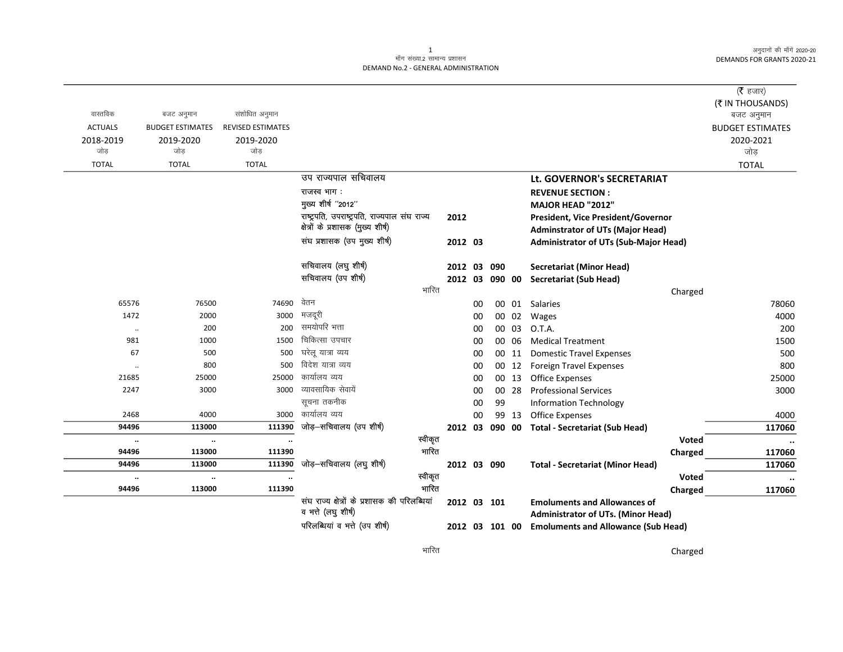अनुदानों की माँगें 2020-20 DEMANDS FOR GRANTS 2020-21

## $\mathbf{1}$ माँग संख्या.2 सामान्य प्रशासन DEMAND No.2 - GENERAL ADMINISTRATION

|                      |                         |                          |                                                                      |                |    |        |       |                                                                                  | ( $\bar{\tau}$ हजार)    |
|----------------------|-------------------------|--------------------------|----------------------------------------------------------------------|----------------|----|--------|-------|----------------------------------------------------------------------------------|-------------------------|
|                      |                         |                          |                                                                      |                |    |        |       |                                                                                  | (₹ IN THOUSANDS)        |
| वास्तविक             | बजट अनुमान              | संशोधित अनुमान           |                                                                      |                |    |        |       |                                                                                  | बजट अनुमान              |
| <b>ACTUALS</b>       | <b>BUDGET ESTIMATES</b> | <b>REVISED ESTIMATES</b> |                                                                      |                |    |        |       |                                                                                  | <b>BUDGET ESTIMATES</b> |
| 2018-2019            | 2019-2020               | 2019-2020                |                                                                      |                |    |        |       |                                                                                  | 2020-2021               |
| जोड                  | जोड                     | जोड                      |                                                                      |                |    |        |       |                                                                                  | जोड़                    |
| <b>TOTAL</b>         | <b>TOTAL</b>            | <b>TOTAL</b>             |                                                                      |                |    |        |       |                                                                                  | <b>TOTAL</b>            |
|                      |                         |                          | उप राज्यपाल सचिवालय                                                  |                |    |        |       | Lt. GOVERNOR's SECRETARIAT                                                       |                         |
|                      |                         |                          | राजस्व भाग:                                                          |                |    |        |       | <b>REVENUE SECTION:</b>                                                          |                         |
|                      |                         |                          | मुख्य शीर्ष "2012"                                                   |                |    |        |       | MAJOR HEAD "2012"                                                                |                         |
|                      |                         |                          | राष्ट्रपति, उपराष्ट्रपति, राज्यपाल संघ राज्य                         | 2012           |    |        |       | President, Vice President/Governor                                               |                         |
|                      |                         |                          | क्षेत्रों के प्रशासक (मुख्य शीर्ष)                                   |                |    |        |       | <b>Adminstrator of UTs (Major Head)</b>                                          |                         |
|                      |                         |                          | संघ प्रशासक (उप मुख्य शीर्ष)                                         | 2012 03        |    |        |       | <b>Administrator of UTs (Sub-Major Head)</b>                                     |                         |
|                      |                         |                          | सचिवालय (लघु शीर्ष)                                                  | 2012 03        |    | 090    |       | <b>Secretariat (Minor Head)</b>                                                  |                         |
|                      |                         |                          | सचिवालय (उप शीर्ष)                                                   | 2012 03        |    | 090 00 |       | <b>Secretariat (Sub Head)</b>                                                    |                         |
|                      |                         |                          | भारित                                                                |                |    |        |       | Charged                                                                          |                         |
| 65576                | 76500                   | 74690                    | वेतन                                                                 |                | 00 |        |       | 00 01 Salaries                                                                   | 78060                   |
| 1472                 | 2000                    | 3000                     | मजदूरी                                                               |                | 00 |        |       | 00 02 Wages                                                                      | 4000                    |
| $\ldots$             | 200                     | 200                      | समयोपरि भत्ता                                                        |                | 00 |        | 00 03 | O.T.A.                                                                           | 200                     |
| 981                  | 1000                    | 1500                     | चिकित्सा उपचार                                                       |                | 00 |        | 00 06 | <b>Medical Treatment</b>                                                         | 1500                    |
| 67                   | 500                     | 500                      | घरेलू यात्रा व्यय                                                    |                | 00 |        | 00 11 | <b>Domestic Travel Expenses</b>                                                  | 500                     |
| $\ddot{\phantom{0}}$ | 800                     | 500                      | विदेश यात्रा व्यय                                                    |                | 00 |        | 00 12 | <b>Foreign Travel Expenses</b>                                                   | 800                     |
| 21685                | 25000                   | 25000                    | कार्यालय व्यय                                                        |                | 00 |        | 00 13 | <b>Office Expenses</b>                                                           | 25000                   |
| 2247                 | 3000                    | 3000                     | व्यावसायिक सेवायें                                                   |                | 00 |        | 00 28 | <b>Professional Services</b>                                                     | 3000                    |
|                      |                         |                          | सूचना तकनीक                                                          |                | 00 | 99     |       | <b>Information Technology</b>                                                    |                         |
| 2468                 | 4000                    | 3000                     | कार्यालय व्यय                                                        |                | 00 |        | 99 13 | <b>Office Expenses</b>                                                           | 4000                    |
| 94496                | 113000                  | 111390                   | जोड़-सचिवालय (उप शीर्ष)                                              | 2012 03        |    | 090 00 |       | <b>Total - Secretariat (Sub Head)</b>                                            | 117060                  |
| $\ldots$             | $\ddotsc$               | $\ddot{\phantom{0}}$     | स्वीकृत                                                              |                |    |        |       | Voted                                                                            | $\ddotsc$               |
| 94496                | 113000                  | 111390                   | भारित                                                                |                |    |        |       | Charged                                                                          | 117060                  |
| 94496                | 113000                  | 111390                   | जोड़–सचिवालय (लघु शीर्ष)                                             | 2012 03 090    |    |        |       | <b>Total - Secretariat (Minor Head)</b>                                          | 117060                  |
| $\cdot\cdot$         | $\cdot\cdot$            | $\ddotsc$                | स्वीकृत                                                              |                |    |        |       | <b>Voted</b>                                                                     |                         |
| 94496                | 113000                  | 111390                   | भारित                                                                |                |    |        |       | Charged                                                                          | 117060                  |
|                      |                         |                          | संघ राज्य क्षेत्रों के प्रशासक की परिलब्धियां<br>व भत्ते (लघु शीर्ष) | 2012 03 101    |    |        |       | <b>Emoluments and Allowances of</b><br><b>Administrator of UTs. (Minor Head)</b> |                         |
|                      |                         |                          | परिलब्धियां व भत्ते (उप शीर्ष)                                       | 2012 03 101 00 |    |        |       | <b>Emoluments and Allowance (Sub Head)</b>                                       |                         |

Charged

भारित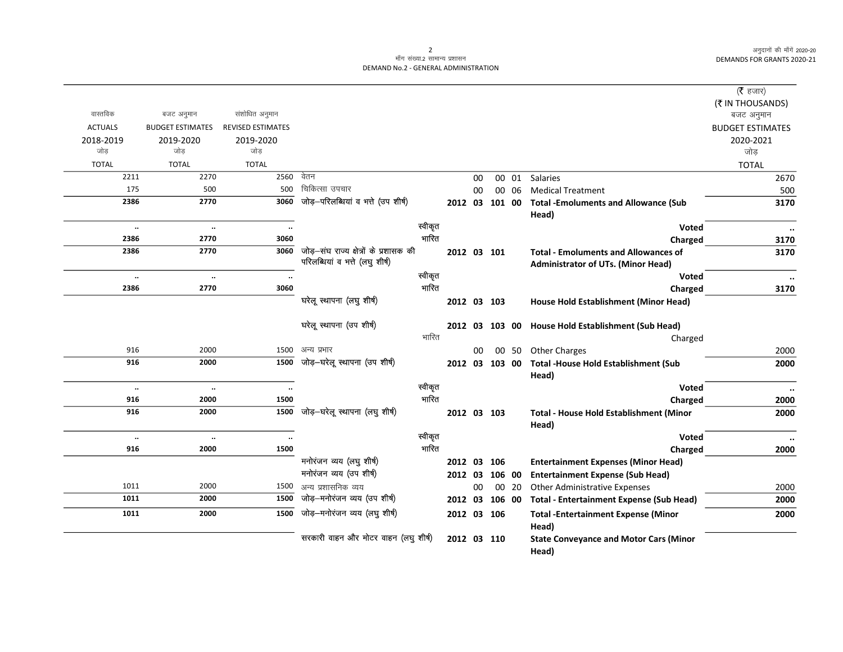अनुदानों की माँगें 2020-20 DEMANDS FOR GRANTS 2020-21

## माँग संख्या.2 सामान्य प्रशासन DEMAND No.2 - GENERAL ADMINISTRATION

|                      |                         |                          |                                        |         |             |    |                |       |                                                         | ( $\bar{\tau}$ हजार)<br>(₹ IN THOUSANDS) |
|----------------------|-------------------------|--------------------------|----------------------------------------|---------|-------------|----|----------------|-------|---------------------------------------------------------|------------------------------------------|
| वास्तविक             | बजट अनुमान              | संशोधित अनुमान           |                                        |         |             |    |                |       |                                                         | बजट अनुमान                               |
| <b>ACTUALS</b>       | <b>BUDGET ESTIMATES</b> | <b>REVISED ESTIMATES</b> |                                        |         |             |    |                |       |                                                         | <b>BUDGET ESTIMATES</b>                  |
| 2018-2019            | 2019-2020               | 2019-2020                |                                        |         |             |    |                |       |                                                         | 2020-2021                                |
| जोड                  | जोड                     | जोड                      |                                        |         |             |    |                |       |                                                         | जोड़                                     |
| <b>TOTAL</b>         | <b>TOTAL</b>            | <b>TOTAL</b>             |                                        |         |             |    |                |       |                                                         | <b>TOTAL</b>                             |
| 2211                 | 2270                    | 2560                     | वेतन                                   |         |             | 00 |                | 00 01 | Salaries                                                | 2670                                     |
| 175                  | 500                     | 500                      | चिकित्सा उपचार                         |         |             | 00 |                | 00 06 | <b>Medical Treatment</b>                                | 500                                      |
| 2386                 | 2770                    | 3060                     | जोड़-परिलब्धियां व भत्ते (उप शीर्ष)    |         |             |    | 2012 03 101 00 |       | <b>Total -Emoluments and Allowance (Sub</b><br>Head)    | 3170                                     |
| $\ddot{\phantom{a}}$ | $\ldots$                | $\ddot{\phantom{a}}$     |                                        | स्वीकृत |             |    |                |       | <b>Voted</b>                                            | $\ddotsc$                                |
| 2386                 | 2770                    | 3060                     |                                        | भारित   |             |    |                |       | Charged                                                 | 3170                                     |
| 2386                 | 2770                    | 3060                     | जोड़-संघ राज्य क्षेत्रों के प्रशासक की |         | 2012 03 101 |    |                |       | <b>Total - Emoluments and Allowances of</b>             | 3170                                     |
|                      |                         |                          | परिलब्धियां व भत्ते (लघु शीर्ष)        |         |             |    |                |       | <b>Administrator of UTs. (Minor Head)</b>               |                                          |
| $\ddotsc$            | $\ldots$                | $\ddotsc$                |                                        | स्वीकृत |             |    |                |       | Voted                                                   | $\ddot{\phantom{a}}$                     |
| 2386                 | 2770                    | 3060                     |                                        | भारित   |             |    |                |       | Charged                                                 | 3170                                     |
|                      |                         |                          | घरेलू स्थापना (लघु शीर्ष)              |         | 2012 03 103 |    |                |       | House Hold Establishment (Minor Head)                   |                                          |
|                      |                         |                          | घरेलू स्थापना (उप शीर्ष)               |         |             |    | 2012 03 103 00 |       | House Hold Establishment (Sub Head)                     |                                          |
|                      |                         |                          |                                        | भारित   |             |    |                |       | Charged                                                 |                                          |
| 916                  | 2000                    | 1500                     | अन्य प्रभार                            |         |             | 00 |                | 00 50 | <b>Other Charges</b>                                    | 2000                                     |
| 916                  | 2000                    | 1500                     | जोड़—घरेलू स्थापना (उप शीर्ष)          |         |             |    | 2012 03 103 00 |       | <b>Total -House Hold Establishment (Sub</b><br>Head)    | 2000                                     |
| $\ldots$             | $\cdot\cdot$            | $\ddotsc$                |                                        | स्वीकृत |             |    |                |       | Voted                                                   | $\ddotsc$                                |
| 916                  | 2000                    | 1500                     |                                        | भारित   |             |    |                |       | Charged                                                 | 2000                                     |
| 916                  | 2000                    | 1500                     | जोड़-घरेलू स्थापना (लघु शीर्ष)         |         | 2012 03 103 |    |                |       | <b>Total - House Hold Establishment (Minor</b><br>Head) | 2000                                     |
| $\ddot{\phantom{a}}$ | $\ldots$                | $\ddot{\phantom{a}}$     |                                        | स्वीकृत |             |    |                |       | Voted                                                   | $\cdot\cdot$                             |
| 916                  | 2000                    | 1500                     |                                        | भारित   |             |    |                |       | Charged                                                 | 2000                                     |
|                      |                         |                          | मनोरंजन व्यय (लघु शीर्ष)               |         | 2012 03 106 |    |                |       | <b>Entertainment Expenses (Minor Head)</b>              |                                          |
|                      |                         |                          | मनोरंजन व्यय (उप शीर्ष)                |         | 2012 03     |    | 106 00         |       | <b>Entertainment Expense (Sub Head)</b>                 |                                          |
| 1011                 | 2000                    | 1500                     | अन्य प्रशासनिक व्यय                    |         |             | 00 |                | 00 20 | <b>Other Administrative Expenses</b>                    | 2000                                     |
| 1011                 | 2000                    | 1500                     | जोड़-मनोरंजन व्यय (उप शीर्ष)           |         | 2012 03     |    | 106 00         |       | <b>Total - Entertainment Expense (Sub Head)</b>         | 2000                                     |
| 1011                 | 2000                    | 1500                     | जोड़-मनोरंजन व्यय (लघु शीर्ष)          |         | 2012 03 106 |    |                |       | <b>Total -Entertainment Expense (Minor</b>              | 2000                                     |
|                      |                         |                          |                                        |         |             |    |                |       | Head)                                                   |                                          |
|                      |                         |                          | सरकारी वाहन और मोटर वाहन (लघु शीर्ष)   |         | 2012 03 110 |    |                |       | <b>State Conveyance and Motor Cars (Minor</b><br>Head)  |                                          |

2